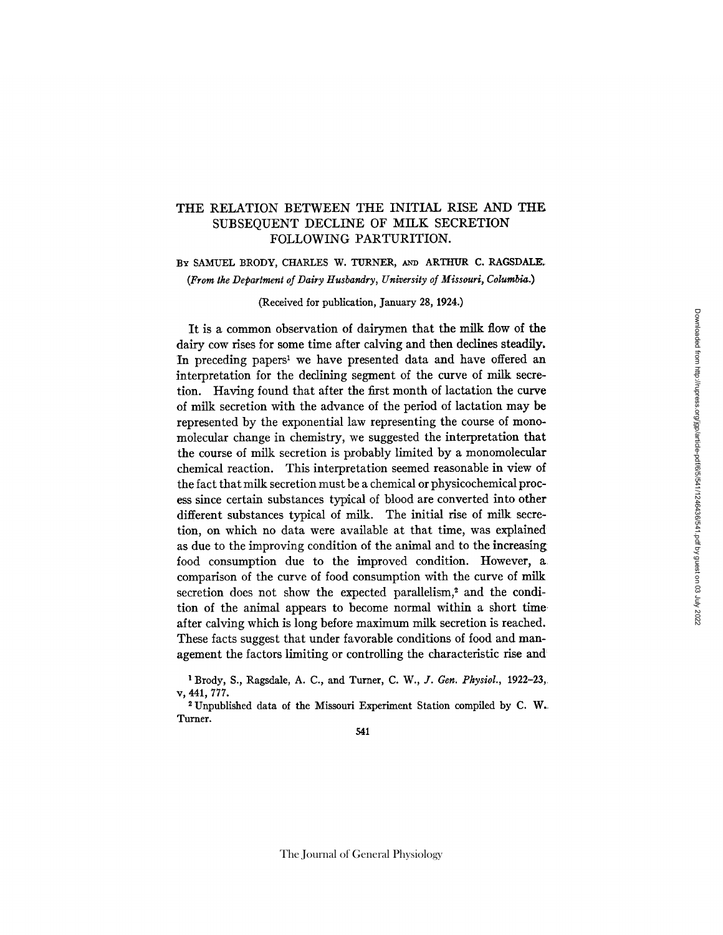## THE RELATION BETWEEN THE INITIAL RISE AND THE SUBSEQUENT DECLINE OF MILK SECRETION *FOLLOWING* PARTURITION.

BY SAMUEL BRODY, CHARLES W. TURNER, AND ARTHUR C. RAGSDALE. *(From the Department of Dairy Husbandry, University of Missouri, Columbia.)* 

(Received for publication, January 28, 1924.)

It is a common observation of dairymen that the milk flow of the dairy cow rises for some time after calving and then declines steadily. In preceding papers<sup>1</sup> we have presented data and have offered an interpretation for the declining segment of the curve of milk secretion. Having found that after the first month of lactation the curve of milk secretion with the advance of the period of lactation may be represented by the exponential law representing the course of monomolecular change in chemistry, we suggested the interpretation that the course of milk secretion is probably limited by a monomolecular chemical reaction. This interpretation seemed reasonable in view of the fact that milk secretion must be a chemical or physicochemical process since certain substances typical of blood are converted into other different substances typical of milk. The initial rise of milk secretion, on which no data were available at that time, was explained as due to the improving condition of the animal and to the increasing food consumption due to the improved condition. However, a comparison of the curve of food consumption with the curve of milk secretion does not show the expected parallelism,<sup>2</sup> and the condition of the animal appears to become normal within a short time after calving which is long before maximum milk secretion is reached. These facts suggest that under favorable conditions of food and management the factors limiting or controlling the characteristic rise and

Brody, S., Ragsdale, A. C., and Turner, *C. W., J. Gen. Physiol.,* 1922-23, v, 441,777.

2 Unpublished data of the Missouri Experiment Station compiled by C. W. Turner.

541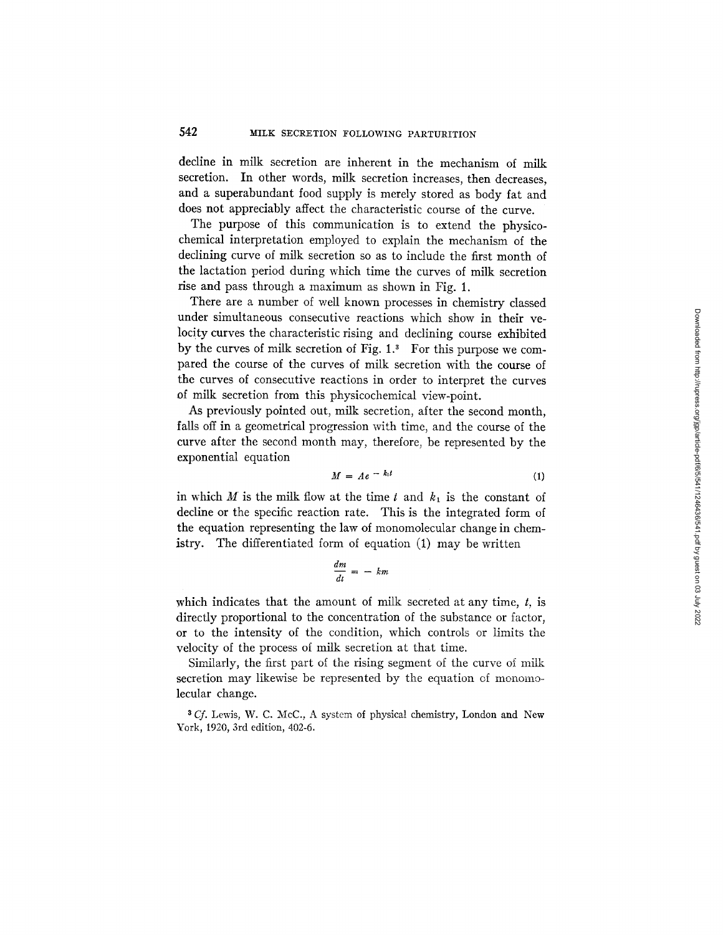decline in milk secretion are inherent in the mechanism of milk secretion. In other words, milk secretion increases, then decreases, and a superabundant food supply is merely stored as body fat and does not appreciably affect the characteristic course of the curve.

The purpose of this communication is to extend the physicochemical interpretation employed to explain the mechanism of the declining curve of milk secretion so as to include the first month of the lactation period during which time the curves of milk secretion rise and pass through a maximum as shown in Fig. 1.

There are a number of well known processes in chemistry classed under simultaneous consecutive reactions which show in their velocity curves the characteristic rising and declining course exhibited by the curves of milk secretion of Fig.  $1<sup>3</sup>$  For this purpose we compared the course of the curves of milk secretion with the course of the curves of consecutive reactions in order to interpret the curves of milk secretion from this physicochemical view-point.

As previously pointed out, milk secretion, after the second month, falls off in a geometrical progression with time, and the course of the curve after the second month may, therefore, be represented by the exponential equation

$$
M = Ae^{-k_1t} \tag{1}
$$

in which M is the milk flow at the time t and  $k_1$  is the constant of decline or the specific reaction rate. This is the integrated form of the equation representing the law of monomolecular change in chemistry. The differentiated form of equation (1) may be written

$$
\frac{dm}{dt} = - km
$$

which indicates that the amount of milk secreted at any time,  $t$ , is directly proportional to the concentration of the substance or factor, or to the intensity of the condition, which controls or limits the velocity of the process of milk secretion at that time.

Similarly, the first part of the rising segment of the curve of milk secretion may likewise be represented by the equation of monomolecular change.

<sup>3</sup> Cf. Lewis, W. C. McC., A system of physical chemistry, London and New York, 1920, 3rd edition, 402-6.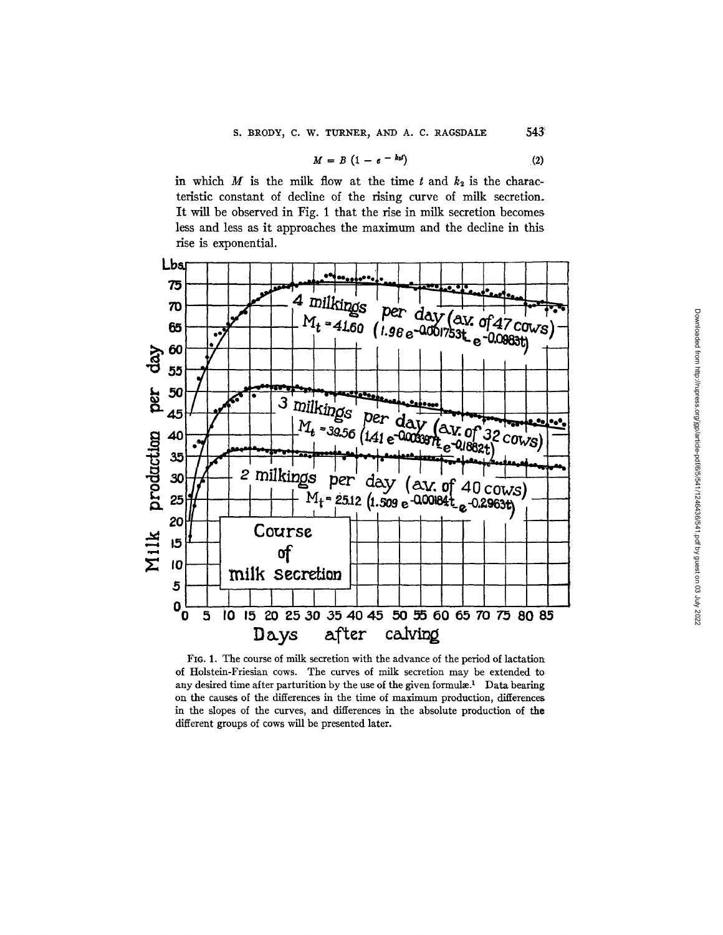$$
M = B \left(1 - e^{-k_2 t}\right) \tag{2}
$$

in which  $M$  is the milk flow at the time  $t$  and  $k_2$  is the characteristic constant of decline of the rising curve of milk secretion. It will be observed in Fig. 1 that the rise in milk secretion becomes less and less as it approaches the maximum and the decline in this rise is exponential.



FIG. 1. The course of milk secretion with the advance of the period of lactation of Holstein-Friesian cows. The curves of milk secretion may be extended to any desired time after parturition by the use of the given formulæ.<sup>1</sup> Data bearing on the causes of the differences in the time of maximum production, differences in the slopes of the curves, and differences in the absolute production of the different groups of cows will be presented later.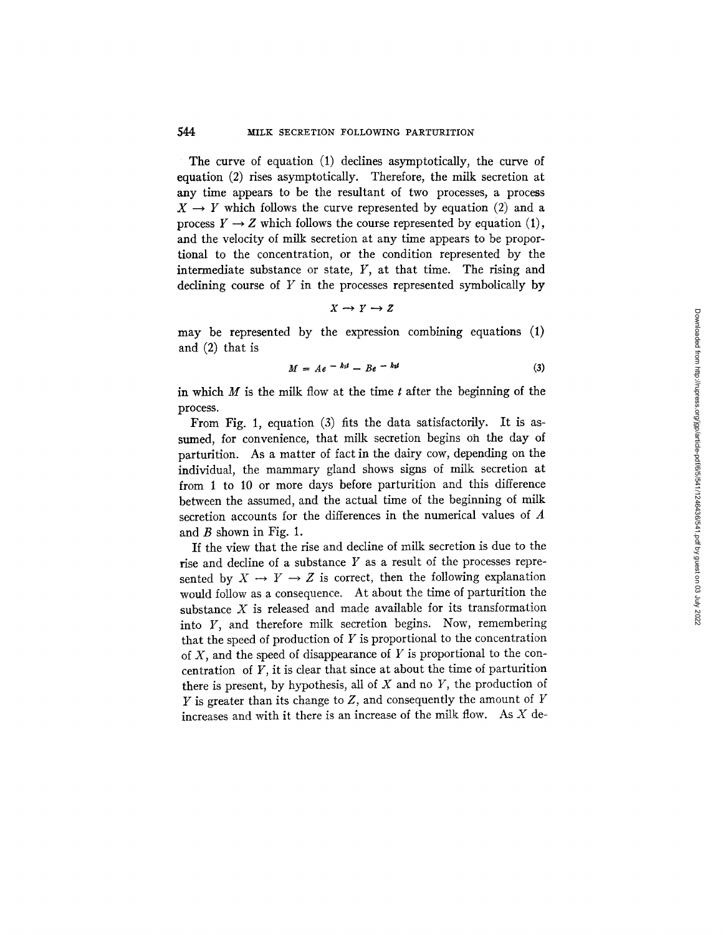## **544** MILK SECRETION FOLLOWING PARTURITION

The curve of equation (1) declines asymptotically, the curve of equation (2) rises asymptotically. Therefore, the milk secretion at any time appears to be the resultant of two processes, a process  $X \rightarrow Y$  which follows the curve represented by equation (2) and a process  $Y \rightarrow Z$  which follows the course represented by equation (1), and the velocity of milk secretion at any time appears to be proportional to the concentration, or the condition represented by the intermediate substance or state,  $Y$ , at that time. The rising and declining course of  $Y$  in the processes represented symbolically by

$$
X \to Y \to Z
$$

may be represented by the expression combining equations (1) and (2) that is

$$
M = Ae^{-kt} - Be^{-kt} \tag{3}
$$

in which  $M$  is the milk flow at the time  $t$  after the beginning of the process.

From Fig. 1, equation (3) fits the data satisfactorily. It is assumed, for convenience, that milk secretion begins oh the day of parturition. As a matter of fact in the dairy cow, depending on the individual, the mammary gland shows signs of milk secretion at from 1 to 10 or more days before parturition and this difference between the assumed, and the actual time of the beginning of milk secretion accounts for the differences in the numerical values of A and  $B$  shown in Fig. 1.

If the view that the rise and decline of milk secretion is due to the rise and decline of a substance Y as a result of the processes represented by  $X \to Y \to Z$  is correct, then the following explanation would follow as a consequence. At about the time of parturition the substance  $X$  is released and made available for its transformation into Y, and therefore milk secretion begins. Now, remembering that the speed of production of  $Y$  is proportional to the concentration of  $X$ , and the speed of disappearance of  $Y$  is proportional to the concentration of  $Y$ , it is clear that since at about the time of parturition there is present, by hypothesis, all of X and no *Y,* the production of  $Y$  is greater than its change to  $Z$ , and consequently the amount of  $Y$ increases and with it there is an increase of the milk flow. As  $X$  de